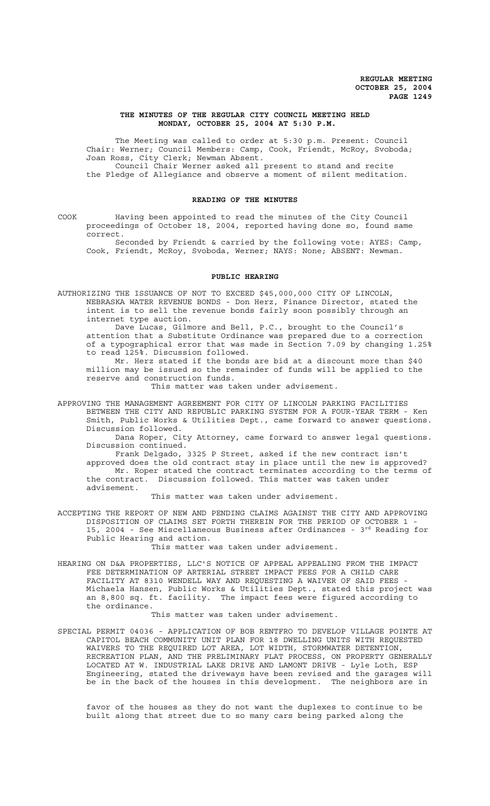#### **THE MINUTES OF THE REGULAR CITY COUNCIL MEETING HELD MONDAY, OCTOBER 25, 2004 AT 5:30 P.M.**

The Meeting was called to order at 5:30 p.m. Present: Council Chair: Werner; Council Members: Camp, Cook, Friendt, McRoy, Svoboda; Joan Ross, City Clerk; Newman Absent. Council Chair Werner asked all present to stand and recite the Pledge of Allegiance and observe a moment of silent meditation.

#### **READING OF THE MINUTES**

COOK Having been appointed to read the minutes of the City Council proceedings of October 18, 2004, reported having done so, found same correct.

Seconded by Friendt & carried by the following vote: AYES: Camp, Cook, Friendt, McRoy, Svoboda, Werner; NAYS: None; ABSENT: Newman.

#### **PUBLIC HEARING**

AUTHORIZING THE ISSUANCE OF NOT TO EXCEED \$45,000,000 CITY OF LINCOLN, NEBRASKA WATER REVENUE BONDS - Don Herz, Finance Director, stated the intent is to sell the revenue bonds fairly soon possibly through an internet type auction.

Dave Lucas, Gilmore and Bell, P.C., brought to the Council's attention that a Substitute Ordinance was prepared due to a correction of a typographical error that was made in Section 7.09 by changing 1.25% to read 125%. Discussion followed.

Mr. Herz stated if the bonds are bid at a discount more than \$40 million may be issued so the remainder of funds will be applied to the reserve and construction funds.

This matter was taken under advisement.

APPROVING THE MANAGEMENT AGREEMENT FOR CITY OF LINCOLN PARKING FACILITIES BETWEEN THE CITY AND REPUBLIC PARKING SYSTEM FOR A FOUR-YEAR TERM - Ken Smith, Public Works & Utilities Dept., came forward to answer questions. Discussion followed.

Dana Roper, City Attorney, came forward to answer legal questions. Discussion continued.

Frank Delgado, 3325 P Street, asked if the new contract isn't approved does the old contract stay in place until the new is approved? Mr. Roper stated the contract terminates according to the terms of the contract. Discussion followed. This matter was taken under advisement.

This matter was taken under advisement.

ACCEPTING THE REPORT OF NEW AND PENDING CLAIMS AGAINST THE CITY AND APPROVING DISPOSITION OF CLAIMS SET FORTH THEREIN FOR THE PERIOD OF OCTOBER 1 15, 2004 - See Miscellaneous Business after Ordinances - 3rd Reading for Public Hearing and action.

This matter was taken under advisement.

HEARING ON D&A PROPERTIES, LLC'S NOTICE OF APPEAL APPEALING FROM THE IMPACT FEE DETERMINATION OF ARTERIAL STREET IMPACT FEES FOR A CHILD CARE FACILITY AT 8310 WENDELL WAY AND REQUESTING A WAIVER OF SAID FEES Michaela Hansen, Public Works & Utilities Dept., stated this project was an 8,800 sq. ft. facility. The impact fees were figured according to the ordinance.

This matter was taken under advisement.

SPECIAL PERMIT 04036 - APPLICATION OF BOB RENTFRO TO DEVELOP VILLAGE POINTE AT CAPITOL BEACH COMMUNITY UNIT PLAN FOR 18 DWELLING UNITS WITH REQUESTED WAIVERS TO THE REQUIRED LOT AREA, LOT WIDTH, STORMWATER DETENTION, RECREATION PLAN, AND THE PRELIMINARY PLAT PROCESS, ON PROPERTY GENERALLY LOCATED AT W. INDUSTRIAL LAKE DRIVE AND LAMONT DRIVE - Lyle Loth, ESP Engineering, stated the driveways have been revised and the garages will be in the back of the houses in this development. The neighbors are in

favor of the houses as they do not want the duplexes to continue to be built along that street due to so many cars being parked along the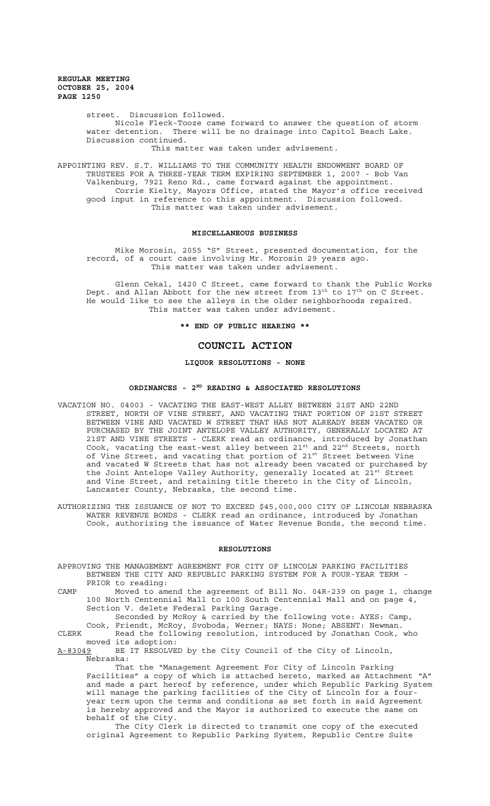> street. Discussion followed. Nicole Fleck-Tooze came forward to answer the question of storm water detention. There will be no drainage into Capitol Beach Lake. Discussion continued. This matter was taken under advisement.

APPOINTING REV. S.T. WILLIAMS TO THE COMMUNITY HEALTH ENDOWMENT BOARD OF

TRUSTEES FOR A THREE-YEAR TERM EXPIRING SEPTEMBER 1, 2007 - Bob Van Valkenburg, 7921 Reno Rd., came forward against the appointment. Corrie Kielty, Mayors Office, stated the Mayor's office received good input in reference to this appointment. Discussion followed. This matter was taken under advisement.

#### **MISCELLANEOUS BUSINESS**

Mike Morosin, 2055 "S" Street, presented documentation, for the record, of a court case involving Mr. Morosin 29 years ago. This matter was taken under advisement.

Glenn Cekal, 1420 C Street, came forward to thank the Public Works Dept. and Allan Abbott for the new street from  $13^{\text{th}}$  to  $17^{\text{th}}$  on C Street. He would like to see the alleys in the older neighborhoods repaired. This matter was taken under advisement.

**\*\* END OF PUBLIC HEARING \*\***

## **COUNCIL ACTION**

#### **LIQUOR RESOLUTIONS - NONE**

# **ORDINANCES - 2ND READING & ASSOCIATED RESOLUTIONS**

- VACATION NO. 04003 VACATING THE EAST-WEST ALLEY BETWEEN 21ST AND 22ND STREET, NORTH OF VINE STREET, AND VACATING THAT PORTION OF 21ST STREET BETWEEN VINE AND VACATED W STREET THAT HAS NOT ALREADY BEEN VACATED OR PURCHASED BY THE JOINT ANTELOPE VALLEY AUTHORITY, GENERALLY LOCATED AT 21ST AND VINE STREETS - CLERK read an ordinance, introduced by Jonathan Cook, vacating the east-west alley between 21st and 22<sup>nd</sup> Streets, north of Vine Street, and vacating that portion of 21<sup>st</sup> Street between Vine and vacated W Streets that has not already been vacated or purchased by the Joint Antelope Valley Authority, generally located at 21st Street and Vine Street, and retaining title thereto in the City of Lincoln, Lancaster County, Nebraska, the second time.
- AUTHORIZING THE ISSUANCE OF NOT TO EXCEED \$45,000,000 CITY OF LINCOLN NEBRASKA WATER REVENUE BONDS - CLERK read an ordinance, introduced by Jonathan Cook, authorizing the issuance of Water Revenue Bonds, the second time.

### **RESOLUTIONS**

- APPROVING THE MANAGEMENT AGREEMENT FOR CITY OF LINCOLN PARKING FACILITIES BETWEEN THE CITY AND REPUBLIC PARKING SYSTEM FOR A FOUR-YEAR TERM - PRIOR to reading:
- CAMP Moved to amend the agreement of Bill No. 04R-239 on page 1, change 100 North Centennial Mall to 100 South Centennial Mall and on page 4, Section V. delete Federal Parking Garage.

Seconded by McRoy & carried by the following vote: AYES: Camp, Cook, Friendt, McRoy, Svoboda, Werner; NAYS: None; ABSENT: Newman. CLERK Read the following resolution, introduced by Jonathan Cook, who

moved its adoption:<br>A-83049 BE IT RESOLVE BE IT RESOLVED by the City Council of the City of Lincoln, Nebraska:

That the "Management Agreement For City of Lincoln Parking Facilities" a copy of which is attached hereto, marked as Attachment "A" and made a part hereof by reference, under which Republic Parking System will manage the parking facilities of the City of Lincoln for a fouryear term upon the terms and conditions as set forth in said Agreement is hereby approved and the Mayor is authorized to execute the same on behalf of the City.

The City Clerk is directed to transmit one copy of the executed original Agreement to Republic Parking System, Republic Centre Suite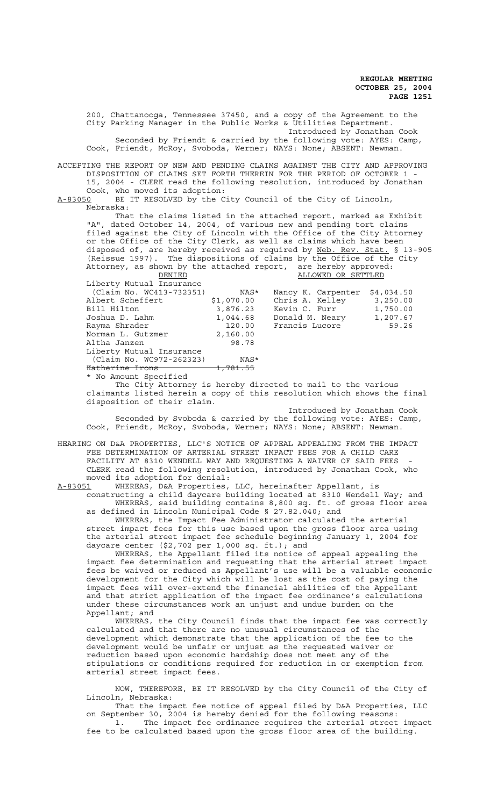200, Chattanooga, Tennessee 37450, and a copy of the Agreement to the City Parking Manager in the Public Works & Utilities Department. Introduced by Jonathan Cook Seconded by Friendt & carried by the following vote: AYES: Camp, Cook, Friendt, McRoy, Svoboda, Werner; NAYS: None; ABSENT: Newman. ACCEPTING THE REPORT OF NEW AND PENDING CLAIMS AGAINST THE CITY AND APPROVING DISPOSITION OF CLAIMS SET FORTH THEREIN FOR THE PERIOD OF OCTOBER 1 - 15, 2004 - CLERK read the following resolution, introduced by Jonathan Cook, who moved its adoption:<br>A-83050 BE IT RESOLVED by the C BE IT RESOLVED by the City Council of the City of Lincoln, Nebraska: That the claims listed in the attached report, marked as Exhibit "A", dated October 14, 2004, of various new and pending tort claims filed against the City of Lincoln with the Office of the City Attorney or the Office of the City Clerk, as well as claims which have been disposed of, are hereby received as required by Neb. Rev. Stat. § 13-905 (Reissue 1997). The dispositions of claims by the Office of the City Attorney, as shown by the attached report, are hereby approved: **DENIED ALLOWED OR SETTLED** Liberty Mutual Insurance (Claim No. WC413-732351) NAS\* Nancy K. Carpenter \$4,034.50 Albert Scheffert  $$1,070.00$  Chris A. Kelley 3,250.00<br>Bill Hilton 3,876.23 Kevin C. Furr 1,750.00 Kevin C. Furr 1,750.00 Joshua D. Lahm 1,044.68 Donald M. Neary 1,207.67 120.00 Francis Lucore 59.26<br>2,160.00 Norman L. Gutzmer Altha Janzen 98.78 Liberty Mutual Insurance (Claim No. WC972-262323) NAS\* Katherine Irons 1,781.55 \* No Amount Specified The City Attorney is hereby directed to mail to the various claimants listed herein a copy of this resolution which shows the final disposition of their claim. Introduced by Jonathan Cook Seconded by Svoboda & carried by the following vote: AYES: Camp, Cook, Friendt, McRoy, Svoboda, Werner; NAYS: None; ABSENT: Newman. HEARING ON D&A PROPERTIES, LLC'S NOTICE OF APPEAL APPEALING FROM THE IMPACT FEE DETERMINATION OF ARTERIAL STREET IMPACT FEES FOR A CHILD CARE FACILITY AT 8310 WENDELL WAY AND REQUESTING A WAIVER OF SAID FEES CLERK read the following resolution, introduced by Jonathan Cook, who moved its adoption for denial:<br>A-83051 WHEREAS, D&A Properties, WHEREAS, D&A Properties, LLC, hereinafter Appellant, is constructing a child daycare building located at 8310 Wendell Way; and WHEREAS, said building contains 8,800 sq. ft. of gross floor area as defined in Lincoln Municipal Code § 27.82.040; and WHEREAS, the Impact Fee Administrator calculated the arterial street impact fees for this use based upon the gross floor area using the arterial street impact fee schedule beginning January 1, 2004 for daycare center (\$2,702 per 1,000 sq. ft.); and WHEREAS, the Appellant filed its notice of appeal appealing the impact fee determination and requesting that the arterial street impact fees be waived or reduced as Appellant's use will be a valuable economic development for the City which will be lost as the cost of paying the impact fees will over-extend the financial abilities of the Appellant and that strict application of the impact fee ordinance's calculations under these circumstances work an unjust and undue burden on the Appellant; and WHEREAS, the City Council finds that the impact fee was correctly calculated and that there are no unusual circumstances of the development which demonstrate that the application of the fee to the development would be unfair or unjust as the requested waiver or reduction based upon economic hardship does not meet any of the stipulations or conditions required for reduction in or exemption from arterial street impact fees. NOW, THEREFORE, BE IT RESOLVED by the City Council of the City of Lincoln, Nebraska: That the impact fee notice of appeal filed by D&A Properties, LLC on September 30, 2004 is hereby denied for the following reasons:

1. The impact fee ordinance requires the arterial street impact fee to be calculated based upon the gross floor area of the building.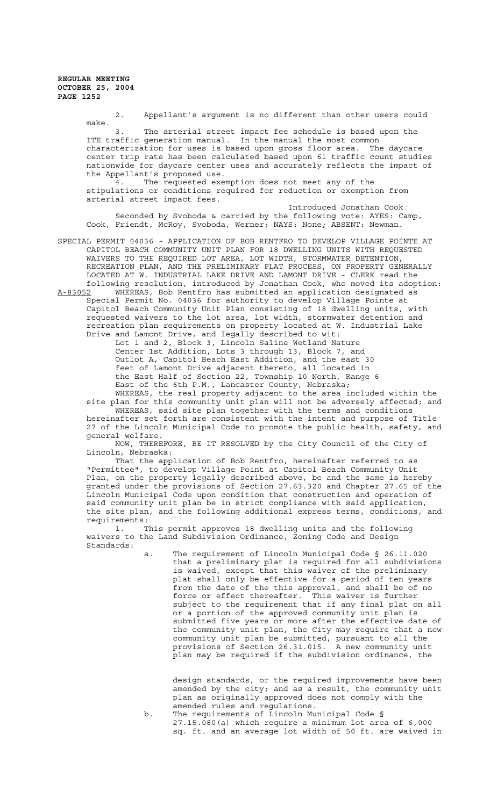> 2. Appellant's argument is no different than other users could make.

3. The arterial street impact fee schedule is based upon the ITE traffic generation manual. In the manual the most common characterization for uses is based upon gross floor area. The daycare center trip rate has been calculated based upon 61 traffic count studies nationwide for daycare center uses and accurately reflects the impact of the Appellant's proposed use.

4. The requested exemption does not meet any of the stipulations or conditions required for reduction or exemption from arterial street impact fees.

Introduced Jonathan Cook Seconded by Svoboda & carried by the following vote: AYES: Camp, Cook, Friendt, McRoy, Svoboda, Werner; NAYS: None; ABSENT: Newman.

SPECIAL PERMIT 04036 - APPLICATION OF BOB RENTFRO TO DEVELOP VILLAGE POINTE AT CAPITOL BEACH COMMUNITY UNIT PLAN FOR 18 DWELLING UNITS WITH REQUESTED WAIVERS TO THE REQUIRED LOT AREA, LOT WIDTH, STORMWATER DETENTION, RECREATION PLAN, AND THE PRELIMINARY PLAT PROCESS, ON PROPERTY GENERALLY LOCATED AT W. INDUSTRIAL LAKE DRIVE AND LAMONT DRIVE - CLERK read the following resolution, introduced by Jonathan Cook, who moved its adoption:

A-83052 WHEREAS, Bob Rentfro has submitted an application designated as Special Permit No. 04036 for authority to develop Village Pointe at Capitol Beach Community Unit Plan consisting of 18 dwelling units, with requested waivers to the lot area, lot width, stormwater detention and recreation plan requirements on property located at W. Industrial Lake Drive and Lamont Drive, and legally described to wit:

> Lot 1 and 2, Block 3, Lincoln Saline Wetland Nature Center 1st Addition, Lots 3 through 13, Block 7, and Outlot A, Capitol Beach East Addition, and the east 30 feet of Lamont Drive adjacent thereto, all located in the East Half of Section 22, Township 10 North, Range 6 East of the 6th P.M., Lancaster County, Nebraska;

WHEREAS, the real property adjacent to the area included within the site plan for this community unit plan will not be adversely affected; and WHEREAS, said site plan together with the terms and conditions

hereinafter set forth are consistent with the intent and purpose of Title 27 of the Lincoln Municipal Code to promote the public health, safety, and general welfare.

NOW, THEREFORE, BE IT RESOLVED by the City Council of the City of Lincoln, Nebraska:

That the application of Bob Rentfro, hereinafter referred to as "Permittee", to develop Village Point at Capitol Beach Community Unit Plan, on the property legally described above, be and the same is hereby granted under the provisions of Section 27.63.320 and Chapter 27.65 of the Lincoln Municipal Code upon condition that construction and operation of said community unit plan be in strict compliance with said application, the site plan, and the following additional express terms, conditions, and

requirements:<br>1. T This permit approves 18 dwelling units and the following waivers to the Land Subdivision Ordinance, Zoning Code and Design Standards:

> a. The requirement of Lincoln Municipal Code § 26.11.020 that a preliminary plat is required for all subdivisions is waived, except that this waiver of the preliminary plat shall only be effective for a period of ten years from the date of the this approval, and shall be of no force or effect thereafter. This waiver is further subject to the requirement that if any final plat on all or a portion of the approved community unit plan is submitted five years or more after the effective date of the community unit plan, the City may require that a new community unit plan be submitted, pursuant to all the provisions of Section 26.31.015. A new community unit plan may be required if the subdivision ordinance, the

design standards, or the required improvements have been amended by the city; and as a result, the community unit plan as originally approved does not comply with the amended rules and regulations.

b. The requirements of Lincoln Municipal Code § 27.15.080(a) which require a minimum lot area of 6,000 sq. ft. and an average lot width of 50 ft. are waived in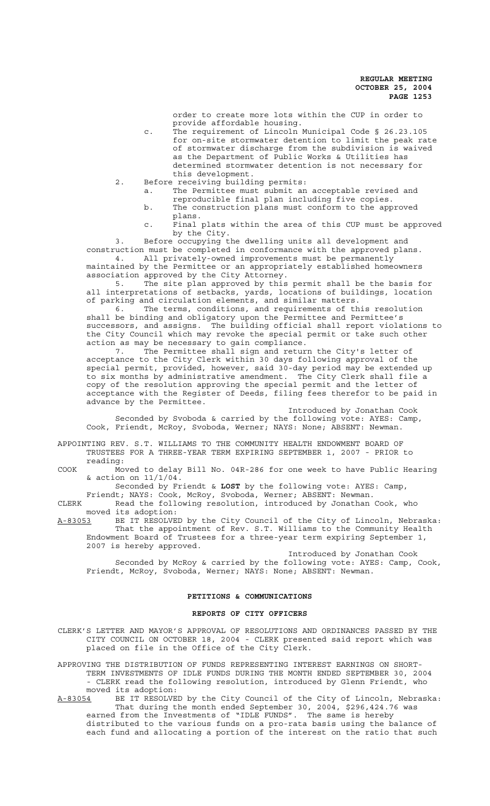order to create more lots within the CUP in order to provide affordable housing.

- c. The requirement of Lincoln Municipal Code § 26.23.105 for on-site stormwater detention to limit the peak rate of stormwater discharge from the subdivision is waived as the Department of Public Works & Utilities has determined stormwater detention is not necessary for this development.
- 2. Before receiving building permits:
	- a. The Permittee must submit an acceptable revised and reproducible final plan including five copies.
	- b. The construction plans must conform to the approved plans.
	- c. Final plats within the area of this CUP must be approved by the City.

3. Before occupying the dwelling units all development and construction must be completed in conformance with the approved plans.

4. All privately-owned improvements must be permanently maintained by the Permittee or an appropriately established homeowners association approved by the City Attorney.

5. The site plan approved by this permit shall be the basis for all interpretations of setbacks, yards, locations of buildings, location of parking and circulation elements, and similar matters.

6. The terms, conditions, and requirements of this resolution shall be binding and obligatory upon the Permittee and Permittee's successors, and assigns. The building official shall report violations to the City Council which may revoke the special permit or take such other action as may be necessary to gain compliance.

7. The Permittee shall sign and return the City's letter of acceptance to the City Clerk within 30 days following approval of the special permit, provided, however, said 30-day period may be extended up to six months by administrative amendment. The City Clerk shall file a copy of the resolution approving the special permit and the letter of acceptance with the Register of Deeds, filing fees therefor to be paid in advance by the Permittee.

Introduced by Jonathan Cook Seconded by Svoboda & carried by the following vote: AYES: Camp, Cook, Friendt, McRoy, Svoboda, Werner; NAYS: None; ABSENT: Newman.

APPOINTING REV. S.T. WILLIAMS TO THE COMMUNITY HEALTH ENDOWMENT BOARD OF TRUSTEES FOR A THREE-YEAR TERM EXPIRING SEPTEMBER 1, 2007 - PRIOR to reading:

COOK Moved to delay Bill No. 04R-286 for one week to have Public Hearing & action on 11/1/04.

Seconded by Friendt & **LOST** by the following vote: AYES: Camp,

Friendt; NAYS: Cook, McRoy, Svoboda, Werner; ABSENT: Newman. CLERK Read the following resolution, introduced by Jonathan Cook, who moved its adoption:

A-83053 BE IT RESOLVED by the City Council of the City of Lincoln, Nebraska: That the appointment of Rev. S.T. Williams to the Community Health Endowment Board of Trustees for a three-year term expiring September 1, 2007 is hereby approved.

Introduced by Jonathan Cook Seconded by McRoy & carried by the following vote: AYES: Camp, Cook, Friendt, McRoy, Svoboda, Werner; NAYS: None; ABSENT: Newman.

### **PETITIONS & COMMUNICATIONS**

## **REPORTS OF CITY OFFICERS**

CLERK'S LETTER AND MAYOR'S APPROVAL OF RESOLUTIONS AND ORDINANCES PASSED BY THE CITY COUNCIL ON OCTOBER 18, 2004 - CLERK presented said report which was placed on file in the Office of the City Clerk.

APPROVING THE DISTRIBUTION OF FUNDS REPRESENTING INTEREST EARNINGS ON SHORT-TERM INVESTMENTS OF IDLE FUNDS DURING THE MONTH ENDED SEPTEMBER 30, 2004 - CLERK read the following resolution, introduced by Glenn Friendt, who moved its adoption:

A-83054 BE IT RESOLVED by the City Council of the City of Lincoln, Nebraska: That during the month ended September 30, 2004, \$296,424.76 was earned from the Investments of "IDLE FUNDS". The same is hereby distributed to the various funds on a pro-rata basis using the balance of each fund and allocating a portion of the interest on the ratio that such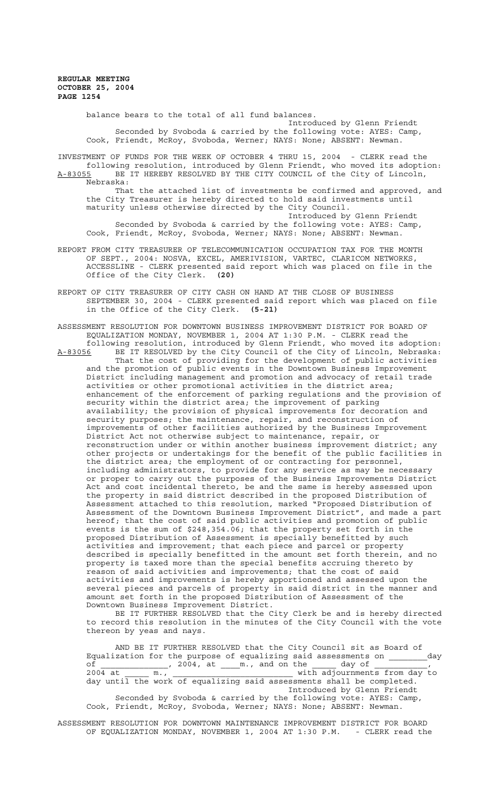balance bears to the total of all fund balances.

Introduced by Glenn Friendt Seconded by Svoboda & carried by the following vote: AYES: Camp, Cook, Friendt, McRoy, Svoboda, Werner; NAYS: None; ABSENT: Newman.

INVESTMENT OF FUNDS FOR THE WEEK OF OCTOBER 4 THRU 15, 2004 - CLERK read the following resolution, introduced by Glenn Friendt, who moved its adoption: A-83055 BE IT HEREBY RESOLVED BY THE CITY COUNCIL of the City of Lincoln, Nebraska:

That the attached list of investments be confirmed and approved, and the City Treasurer is hereby directed to hold said investments until maturity unless otherwise directed by the City Council. Introduced by Glenn Friendt

Seconded by Svoboda & carried by the following vote: AYES: Camp, Cook, Friendt, McRoy, Svoboda, Werner; NAYS: None; ABSENT: Newman.

- REPORT FROM CITY TREASURER OF TELECOMMUNICATION OCCUPATION TAX FOR THE MONTH OF SEPT., 2004: NOSVA, EXCEL, AMERIVISION, VARTEC, CLARICOM NETWORKS, ACCESSLINE - CLERK presented said report which was placed on file in the Office of the City Clerk. **(20)**
- REPORT OF CITY TREASURER OF CITY CASH ON HAND AT THE CLOSE OF BUSINESS SEPTEMBER 30, 2004 - CLERK presented said report which was placed on file in the Office of the City Clerk. **(5-21)**
- ASSESSMENT RESOLUTION FOR DOWNTOWN BUSINESS IMPROVEMENT DISTRICT FOR BOARD OF EQUALIZATION MONDAY, NOVEMBER 1, 2004 AT 1:30 P.M. - CLERK read the following resolution, introduced by Glenn Friendt, who moved its adoption:<br>A-83056 BE IT RESOLVED by the City Council of the City of Lincoln, Nebraska: A-83056 BE IT RESOLVED by the City Council of the City of Lincoln, Nebraska: That the cost of providing for the development of public activities and the promotion of public events in the Downtown Business Improvement District including management and promotion and advocacy of retail trade activities or other promotional activities in the district area; enhancement of the enforcement of parking regulations and the provision of security within the district area; the improvement of parking availability; the provision of physical improvements for decoration and security purposes; the maintenance, repair, and reconstruction of improvements of other facilities authorized by the Business Improvement District Act not otherwise subject to maintenance, repair, or reconstruction under or within another business improvement district; any other projects or undertakings for the benefit of the public facilities in the district area; the employment of or contracting for personnel, including administrators, to provide for any service as may be necessary or proper to carry out the purposes of the Business Improvements District Act and cost incidental thereto, be and the same is hereby assessed upon the property in said district described in the proposed Distribution of Assessment attached to this resolution, marked "Proposed Distribution of Assessment of the Downtown Business Improvement District", and made a part hereof; that the cost of said public activities and promotion of public events is the sum of \$248,354.06; that the property set forth in the proposed Distribution of Assessment is specially benefitted by such activities and improvement; that each piece and parcel or property described is specially benefitted in the amount set forth therein, and no property is taxed more than the special benefits accruing thereto by reason of said activities and improvements; that the cost of said activities and improvements is hereby apportioned and assessed upon the several pieces and parcels of property in said district in the manner and amount set forth in the proposed Distribution of Assessment of the Downtown Business Improvement District.

BE IT FURTHER RESOLVED that the City Clerk be and is hereby directed to record this resolution in the minutes of the City Council with the vote thereon by yeas and nays.

AND BE IT FURTHER RESOLVED that the City Council sit as Board of Equalization for the purpose of equalizing said assessments on \_\_\_\_\_\_\_\_day of  $\frac{1}{2004 \text{ at } \frac{m}{2004 \text{ at } \frac{m}{2004 \text{ at } \frac{m}{2004 \text{ at } \frac{m}{2004 \text{ at } \frac{m}{2004 \text{ at } \frac{m}{2004 \text{ at } \frac{m}{2004 \text{ at } \frac{m}{2004 \text{ at } \frac{m}{2004 \text{ at } \frac{m}{2004 \text{ at } \frac{m}{2004 \text{ at } \frac{m}{2004 \text{ at } \frac{m}{2004 \text{ at } \frac{m}{2004 \text{ at } \frac{m}{20$  $\overline{\text{with adjourmments from day to}}$ day until the work of equalizing said assessments shall be completed. Introduced by Glenn Friendt Seconded by Svoboda & carried by the following vote: AYES: Camp, Cook, Friendt, McRoy, Svoboda, Werner; NAYS: None; ABSENT: Newman.

ASSESSMENT RESOLUTION FOR DOWNTOWN MAINTENANCE IMPROVEMENT DISTRICT FOR BOARD OF EQUALIZATION MONDAY, NOVEMBER 1, 2004 AT 1:30 P.M. - CLERK read the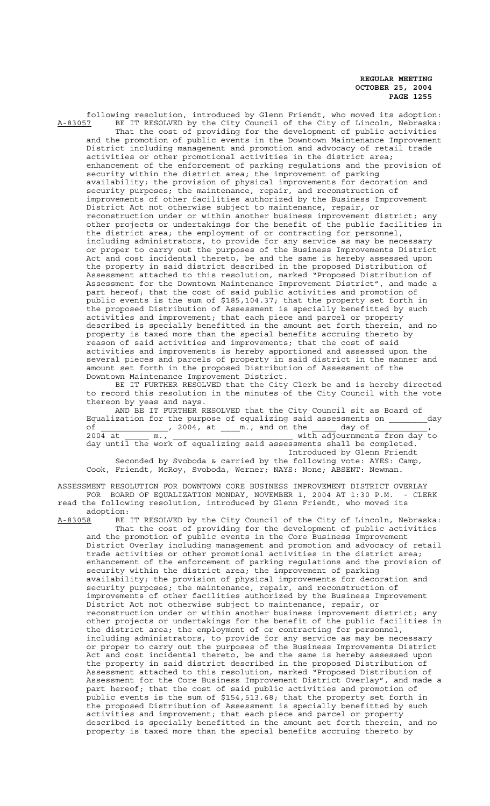following resolution, introduced by Glenn Friendt, who moved its adoption:<br>A-83057 BE IT RESOLVED by the City Council of the City of Lincoln, Nebraska: BE IT RESOLVED by the City Council of the City of Lincoln, Nebraska: That the cost of providing for the development of public activities and the promotion of public events in the Downtown Maintenance Improvement District including management and promotion and advocacy of retail trade activities or other promotional activities in the district area; enhancement of the enforcement of parking regulations and the provision of security within the district area; the improvement of parking availability; the provision of physical improvements for decoration and security purposes; the maintenance, repair, and reconstruction of improvements of other facilities authorized by the Business Improvement District Act not otherwise subject to maintenance, repair, or reconstruction under or within another business improvement district; any other projects or undertakings for the benefit of the public facilities in the district area; the employment of or contracting for personnel, including administrators, to provide for any service as may be necessary or proper to carry out the purposes of the Business Improvements District Act and cost incidental thereto, be and the same is hereby assessed upon the property in said district described in the proposed Distribution of Assessment attached to this resolution, marked "Proposed Distribution of Assessment for the Downtown Maintenance Improvement District", and made a part hereof; that the cost of said public activities and promotion of public events is the sum of \$185,104.37; that the property set forth in the proposed Distribution of Assessment is specially benefitted by such activities and improvement; that each piece and parcel or property described is specially benefitted in the amount set forth therein, and no property is taxed more than the special benefits accruing thereto by reason of said activities and improvements; that the cost of said activities and improvements is hereby apportioned and assessed upon the several pieces and parcels of property in said district in the manner and amount set forth in the proposed Distribution of Assessment of the Downtown Maintenance Improvement District.

BE IT FURTHER RESOLVED that the City Clerk be and is hereby directed to record this resolution in the minutes of the City Council with the vote thereon by yeas and nays.

AND BE IT FURTHER RESOLVED that the City Council sit as Board of Equalization for the purpose of equalizing said assessments on \_\_\_\_\_\_\_\_day of  $\frac{1}{2004 \text{ at }}$ ,  $2004$ , at  $\frac{1}{2004}$ , and on the  $\frac{1}{2004 \text{ at }}$  day of  $\frac{1}{m}$ ,  $\frac{1}{m}$ ,  $\frac{1}{m}$ ,  $\frac{1}{m}$ ,  $\frac{1}{m}$ , with adjournments from day to day until the work of equalizing said assessments shall be completed. Introduced by Glenn Friendt

Seconded by Svoboda & carried by the following vote: AYES: Camp, Cook, Friendt, McRoy, Svoboda, Werner; NAYS: None; ABSENT: Newman.

ASSESSMENT RESOLUTION FOR DOWNTOWN CORE BUSINESS IMPROVEMENT DISTRICT OVERLAY FOR BOARD OF EQUALIZATION MONDAY, NOVEMBER 1, 2004 AT 1:30 P.M. - CLERK read the following resolution, introduced by Glenn Friendt, who moved its adoption:

A-83058 BE IT RESOLVED by the City Council of the City of Lincoln, Nebraska: That the cost of providing for the development of public activities and the promotion of public events in the Core Business Improvement District Overlay including management and promotion and advocacy of retail trade activities or other promotional activities in the district area; enhancement of the enforcement of parking regulations and the provision of security within the district area; the improvement of parking availability; the provision of physical improvements for decoration and security purposes; the maintenance, repair, and reconstruction of improvements of other facilities authorized by the Business Improvement District Act not otherwise subject to maintenance, repair, or reconstruction under or within another business improvement district; any other projects or undertakings for the benefit of the public facilities in the district area; the employment of or contracting for personnel, including administrators, to provide for any service as may be necessary or proper to carry out the purposes of the Business Improvements District Act and cost incidental thereto, be and the same is hereby assessed upon the property in said district described in the proposed Distribution of Assessment attached to this resolution, marked "Proposed Distribution of Assessment for the Core Business Improvement District Overlay", and made a part hereof; that the cost of said public activities and promotion of public events is the sum of \$154,513.68; that the property set forth in .<br>the proposed Distribution of Assessment is specially benefitted by such activities and improvement; that each piece and parcel or property described is specially benefitted in the amount set forth therein, and no property is taxed more than the special benefits accruing thereto by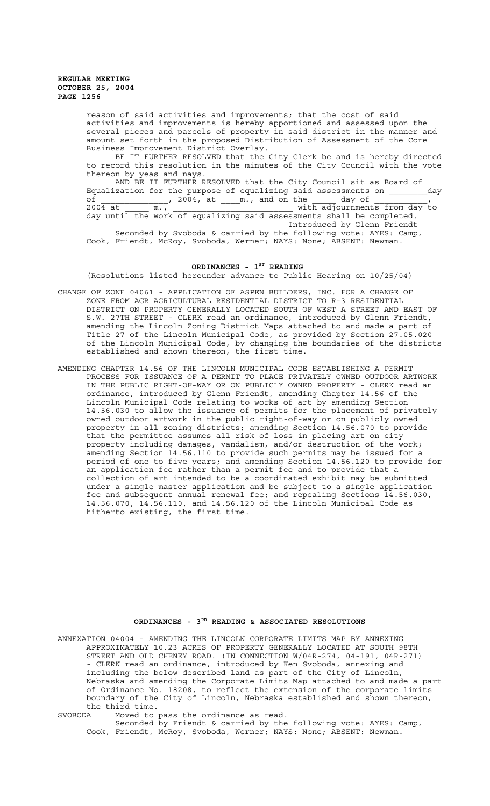> reason of said activities and improvements; that the cost of said activities and improvements is hereby apportioned and assessed upon the several pieces and parcels of property in said district in the manner and amount set forth in the proposed Distribution of Assessment of the Core Business Improvement District Overlay.

BE IT FURTHER RESOLVED that the City Clerk be and is hereby directed to record this resolution in the minutes of the City Council with the vote thereon by yeas and nays.

AND BE IT FURTHER RESOLVED that the City Council sit as Board of Equalization for the purpose of equalizing said assessments on \_\_\_\_\_\_\_\_\_\_\_\_\_\_\_day<br>of  $\qquad \qquad , \qquad 2004, \text{ at} \qquad \text{m., and on the} \qquad \text{day of} \qquad \qquad ,$ of  $\frac{1}{2004 \text{ at}}$ , 2004, at  $\frac{1}{2004}$ , and on the wit  $\frac{1}{2}$ ,  $\frac{2001}{20}$ ,  $\frac{2001}{20}$  at  $\frac{2001}{20}$  and  $\frac{2001}{20}$  and  $\frac{2001}{20}$  or  $\frac{2001}{20}$  or  $\frac{2001}{20}$  or  $\frac{2001}{20}$  or  $\frac{2001}{20}$  or  $\frac{2001}{20}$  or  $\frac{2001}{20}$  or  $\frac{2001}{20}$  or  $\frac{20$ day until the work of equalizing said assessments shall be completed.

Introduced by Glenn Friendt Seconded by Svoboda & carried by the following vote: AYES: Camp,

Cook, Friendt, McRoy, Svoboda, Werner; NAYS: None; ABSENT: Newman.

# ORDINANCES - 1<sup>ST</sup> READING

(Resolutions listed hereunder advance to Public Hearing on 10/25/04)

- CHANGE OF ZONE 04061 APPLICATION OF ASPEN BUILDERS, INC. FOR A CHANGE OF ZONE FROM AGR AGRICULTURAL RESIDENTIAL DISTRICT TO R-3 RESIDENTIAL DISTRICT ON PROPERTY GENERALLY LOCATED SOUTH OF WEST A STREET AND EAST OF S.W. 27TH STREET - CLERK read an ordinance, introduced by Glenn Friendt, amending the Lincoln Zoning District Maps attached to and made a part of Title 27 of the Lincoln Municipal Code, as provided by Section 27.05.020 of the Lincoln Municipal Code, by changing the boundaries of the districts established and shown thereon, the first time.
- AMENDING CHAPTER 14.56 OF THE LINCOLN MUNICIPAL CODE ESTABLISHING A PERMIT PROCESS FOR ISSUANCE OF A PERMIT TO PLACE PRIVATELY OWNED OUTDOOR ARTWORK IN THE PUBLIC RIGHT-OF-WAY OR ON PUBLICLY OWNED PROPERTY - CLERK read an ordinance, introduced by Glenn Friendt, amending Chapter 14.56 of the Lincoln Municipal Code relating to works of art by amending Section 14.56.030 to allow the issuance of permits for the placement of privately owned outdoor artwork in the public right-of-way or on publicly owned property in all zoning districts; amending Section 14.56.070 to provide that the permittee assumes all risk of loss in placing art on city property including damages, vandalism, and/or destruction of the work; amending Section 14.56.110 to provide such permits may be issued for a period of one to five years; and amending Section 14.56.120 to provide for an application fee rather than a permit fee and to provide that a collection of art intended to be a coordinated exhibit may be submitted under a single master application and be subject to a single application fee and subsequent annual renewal fee; and repealing Sections 14.56.030, 14.56.070, 14.56.110, and 14.56.120 of the Lincoln Municipal Code as hitherto existing, the first time.

# **ORDINANCES - 3RD READING & ASSOCIATED RESOLUTIONS**

ANNEXATION 04004 - AMENDING THE LINCOLN CORPORATE LIMITS MAP BY ANNEXING APPROXIMATELY 10.23 ACRES OF PROPERTY GENERALLY LOCATED AT SOUTH 98TH STREET AND OLD CHENEY ROAD. (IN CONNECTION W/04R-274, 04-191, 04R-271) - CLERK read an ordinance, introduced by Ken Svoboda, annexing and including the below described land as part of the City of Lincoln, Nebraska and amending the Corporate Limits Map attached to and made a part of Ordinance No. 18208, to reflect the extension of the corporate limits boundary of the City of Lincoln, Nebraska established and shown thereon, the third time.

SVOBODA Moved to pass the ordinance as read.

Seconded by Friendt & carried by the following vote: AYES: Camp, Cook, Friendt, McRoy, Svoboda, Werner; NAYS: None; ABSENT: Newman.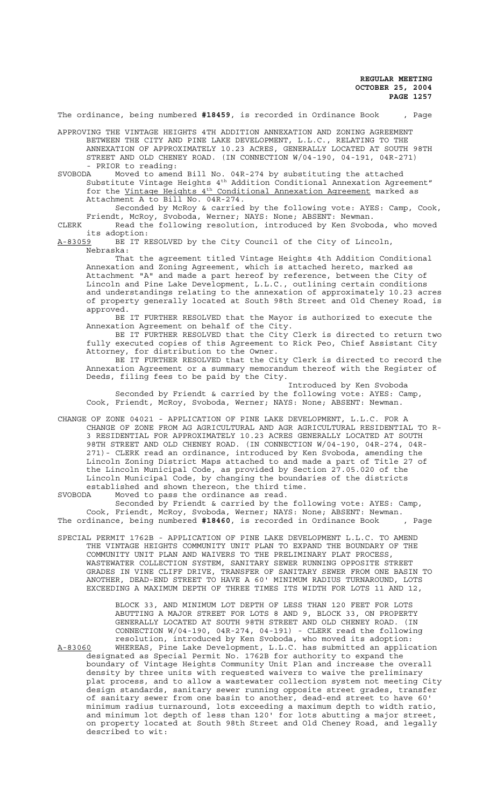The ordinance, being numbered **#18459**, is recorded in Ordinance Book , Page

APPROVING THE VINTAGE HEIGHTS 4TH ADDITION ANNEXATION AND ZONING AGREEMENT BETWEEN THE CITY AND PINE LAKE DEVELOPMENT, L.L.C., RELATING TO THE ANNEXATION OF APPROXIMATELY 10.23 ACRES, GENERALLY LOCATED AT SOUTH 98TH STREET AND OLD CHENEY ROAD. (IN CONNECTION W/04-190, 04-191, 04R-271)

- PRIOR to reading:<br>SVOBODA Moved to amen SVOBODA Moved to amend Bill No. 04R-274 by substituting the attached Substitute Vintage Heights  $4<sup>th</sup>$  Addition Conditional Annexation Agreement" for the Vintage Heights 4<sup>th</sup> Conditional Annexation Agreement marked as Attachment A to Bill No. 04R-274.

Seconded by McRoy & carried by the following vote: AYES: Camp, Cook, Friendt, McRoy, Svoboda, Werner; NAYS: None; ABSENT: Newman. CLERK Read the following resolution, introduced by Ken Svoboda, who moved

its adoption:<br>A-83059 BE IT R

BE IT RESOLVED by the City Council of the City of Lincoln, Nebraska:

That the agreement titled Vintage Heights 4th Addition Conditional Annexation and Zoning Agreement, which is attached hereto, marked as Attachment "A" and made a part hereof by reference, between the City of Lincoln and Pine Lake Development, L.L.C., outlining certain conditions and understandings relating to the annexation of approximately 10.23 acres of property generally located at South 98th Street and Old Cheney Road, is approved.

BE IT FURTHER RESOLVED that the Mayor is authorized to execute the Annexation Agreement on behalf of the City.

BE IT FURTHER RESOLVED that the City Clerk is directed to return two fully executed copies of this Agreement to Rick Peo, Chief Assistant City Attorney, for distribution to the Owner.

BE IT FURTHER RESOLVED that the City Clerk is directed to record the Annexation Agreement or a summary memorandum thereof with the Register of Deeds, filing fees to be paid by the City.

Introduced by Ken Svoboda Seconded by Friendt & carried by the following vote: AYES: Camp, Cook, Friendt, McRoy, Svoboda, Werner; NAYS: None; ABSENT: Newman.

CHANGE OF ZONE 04021 - APPLICATION OF PINE LAKE DEVELOPMENT, L.L.C. FOR A CHANGE OF ZONE FROM AG AGRICULTURAL AND AGR AGRICULTURAL RESIDENTIAL TO R-3 RESIDENTIAL FOR APPROXIMATELY 10.23 ACRES GENERALLY LOCATED AT SOUTH 98TH STREET AND OLD CHENEY ROAD. (IN CONNECTION W/04-190, 04R-274, 04R-271)- CLERK read an ordinance, introduced by Ken Svoboda, amending the Lincoln Zoning District Maps attached to and made a part of Title 27 of the Lincoln Municipal Code, as provided by Section 27.05.020 of the Lincoln Municipal Code, by changing the boundaries of the districts

established and shown thereon, the third time.<br>SVOBODA Moved to pass the ordinance as read. Moved to pass the ordinance as read.

Seconded by Friendt & carried by the following vote: AYES: Camp, Cook, Friendt, McRoy, Svoboda, Werner; NAYS: None; ABSENT: Newman. The ordinance, being numbered **#18460**, is recorded in Ordinance Book , Page

SPECIAL PERMIT 1762B - APPLICATION OF PINE LAKE DEVELOPMENT L.L.C. TO AMEND THE VINTAGE HEIGHTS COMMUNITY UNIT PLAN TO EXPAND THE BOUNDARY OF THE COMMUNITY UNIT PLAN AND WAIVERS TO THE PRELIMINARY PLAT PROCESS, WASTEWATER COLLECTION SYSTEM, SANITARY SEWER RUNNING OPPOSITE STREET GRADES IN VINE CLIFF DRIVE, TRANSFER OF SANITARY SEWER FROM ONE BASIN TO ANOTHER, DEAD-END STREET TO HAVE A 60' MINIMUM RADIUS TURNAROUND, LOTS EXCEEDING A MAXIMUM DEPTH OF THREE TIMES ITS WIDTH FOR LOTS 11 AND 12,

BLOCK 33, AND MINIMUM LOT DEPTH OF LESS THAN 120 FEET FOR LOTS ABUTTING A MAJOR STREET FOR LOTS 8 AND 9, BLOCK 33, ON PROPERTY GENERALLY LOCATED AT SOUTH 98TH STREET AND OLD CHENEY ROAD. (IN CONNECTION W/04-190, 04R-274, 04-191) - CLERK read the following resolution, introduced by Ken Svoboda, who moved its adoption: A-83060 WHEREAS, Pine Lake Development, L.L.C. has submitted an application designated as Special Permit No. 1762B for authority to expand the boundary of Vintage Heights Community Unit Plan and increase the overall density by three units with requested waivers to waive the preliminary plat process, and to allow a wastewater collection system not meeting City design standards, sanitary sewer running opposite street grades, transfer of sanitary sewer from one basin to another, dead-end street to have 60' minimum radius turnaround, lots exceeding a maximum depth to width ratio, and minimum lot depth of less than 120' for lots abutting a major street, on property located at South 98th Street and Old Cheney Road, and legally described to wit: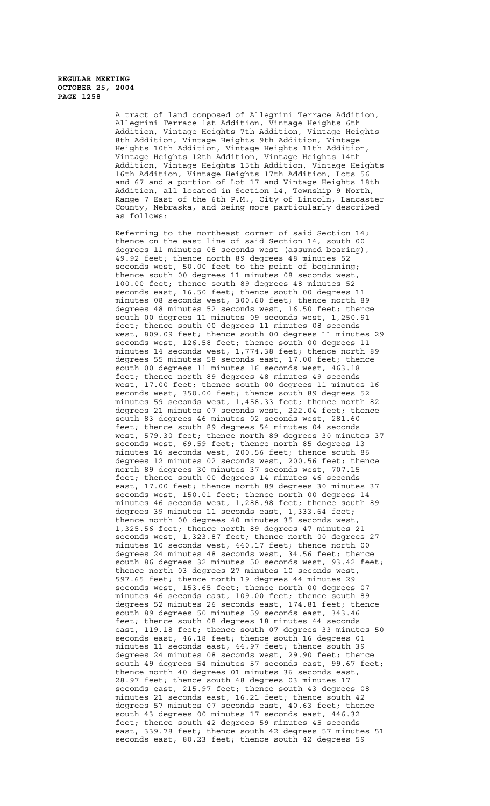A tract of land composed of Allegrini Terrace Addition, Allegrini Terrace 1st Addition, Vintage Heights 6th Addition, Vintage Heights 7th Addition, Vintage Heights 8th Addition, Vintage Heights 9th Addition, Vintage Heights 10th Addition, Vintage Heights 11th Addition, Vintage Heights 12th Addition, Vintage Heights 14th Addition, Vintage Heights 15th Addition, Vintage Heights 16th Addition, Vintage Heights 17th Addition, Lots 56 and 67 and a portion of Lot 17 and Vintage Heights 18th Addition, all located in Section 14, Township 9 North, Range 7 East of the 6th P.M., City of Lincoln, Lancaster County, Nebraska, and being more particularly described as follows:

Referring to the northeast corner of said Section 14; thence on the east line of said Section 14, south 00 degrees 11 minutes 08 seconds west (assumed bearing), 49.92 feet; thence north 89 degrees 48 minutes 52 seconds west, 50.00 feet to the point of beginning; thence south 00 degrees 11 minutes 08 seconds west, 100.00 feet; thence south 89 degrees 48 minutes 52 seconds east, 16.50 feet; thence south 00 degrees 11 minutes 08 seconds west, 300.60 feet; thence north 89 degrees 48 minutes 52 seconds west, 16.50 feet; thence south 00 degrees 11 minutes 09 seconds west, 1,250.91 feet; thence south 00 degrees 11 minutes 08 seconds west, 809.09 feet; thence south 00 degrees 11 minutes 29 seconds west, 126.58 feet; thence south 00 degrees 11 minutes 14 seconds west, 1,774.38 feet; thence north 89 degrees 55 minutes 58 seconds east, 17.00 feet; thence south 00 degrees 11 minutes 16 seconds west, 463.18 feet; thence north 89 degrees 48 minutes 49 seconds west, 17.00 feet; thence south 00 degrees 11 minutes 16 seconds west, 350.00 feet; thence south 89 degrees 52 minutes 59 seconds west, 1,458.33 feet; thence north 82 degrees 21 minutes 07 seconds west, 222.04 feet; thence south 83 degrees 46 minutes 02 seconds west, 281.60 feet; thence south 89 degrees 54 minutes 04 seconds west, 579.30 feet; thence north 89 degrees 30 minutes 37 seconds west, 69.59 feet; thence north 85 degrees 13 minutes 16 seconds west, 200.56 feet; thence south 86 degrees 12 minutes 02 seconds west, 200.56 feet; thence north 89 degrees 30 minutes 37 seconds west, 707.15 feet; thence south 00 degrees 14 minutes 46 seconds east, 17.00 feet; thence north 89 degrees 30 minutes 37 seconds west, 150.01 feet; thence north 00 degrees 14 minutes 46 seconds west, 1,288.98 feet; thence south 89 degrees 39 minutes 11 seconds east, 1,333.64 feet; thence north 00 degrees 40 minutes 35 seconds west, 1,325.56 feet; thence north 89 degrees 47 minutes 21 seconds west, 1,323.87 feet; thence north 00 degrees 27 minutes 10 seconds west, 440.17 feet; thence north 00 degrees 24 minutes 48 seconds west, 34.56 feet; thence south 86 degrees 32 minutes 50 seconds west, 93.42 feet; thence north 03 degrees 27 minutes 10 seconds west, 597.65 feet; thence north 19 degrees 44 minutes 29 seconds west, 153.65 feet; thence north 00 degrees 07 minutes 46 seconds east, 109.00 feet; thence south 89 degrees 52 minutes 26 seconds east, 174.81 feet; thence south 89 degrees 50 minutes 59 seconds east, 343.46 feet; thence south 08 degrees 18 minutes 44 seconds east, 119.18 feet; thence south 07 degrees 33 minutes 50 seconds east, 46.18 feet; thence south 16 degrees 01 minutes 11 seconds east, 44.97 feet; thence south 39 degrees 24 minutes 08 seconds west, 29.90 feet; thence south 49 degrees 54 minutes 57 seconds east, 99.67 feet; thence north 40 degrees 01 minutes 36 seconds east, 28.97 feet; thence south 48 degrees 03 minutes 17 seconds east, 215.97 feet; thence south 43 degrees 08 minutes 21 seconds east, 16.21 feet; thence south 42 degrees 57 minutes 07 seconds east, 40.63 feet; thence south 43 degrees 00 minutes 17 seconds east, 446.32 feet; thence south 42 degrees 59 minutes 45 seconds east, 339.78 feet; thence south 42 degrees 57 minutes 51 seconds east, 80.23 feet; thence south 42 degrees 59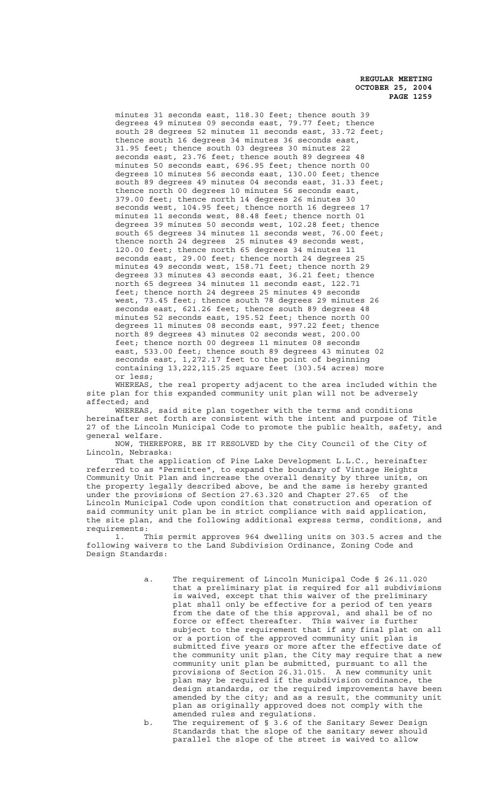minutes 31 seconds east, 118.30 feet; thence south 39 degrees 49 minutes 09 seconds east, 79.77 feet; thence south 28 degrees 52 minutes 11 seconds east, 33.72 feet; thence south 16 degrees 34 minutes 36 seconds east, 31.95 feet; thence south 03 degrees 30 minutes 22 seconds east, 23.76 feet; thence south 89 degrees 48 minutes 50 seconds east, 696.95 feet; thence north 00 degrees 10 minutes 56 seconds east, 130.00 feet; thence south 89 degrees 49 minutes 04 seconds east, 31.33 feet; thence north 00 degrees 10 minutes 56 seconds east, 379.00 feet; thence north 14 degrees 26 minutes 30 seconds west, 104.95 feet; thence north 16 degrees 17 minutes 11 seconds west, 88.48 feet; thence north 01 degrees 39 minutes 50 seconds west, 102.28 feet; thence south 65 degrees 34 minutes 11 seconds west, 76.00 feet; thence north 24 degrees 25 minutes 49 seconds west, 120.00 feet; thence north 65 degrees 34 minutes 11 seconds east, 29.00 feet; thence north 24 degrees 25 minutes 49 seconds west, 158.71 feet; thence north 29 degrees 33 minutes 43 seconds east, 36.21 feet; thence north 65 degrees 34 minutes 11 seconds east, 122.71 feet; thence north 24 degrees 25 minutes 49 seconds west, 73.45 feet; thence south 78 degrees 29 minutes 26 seconds east, 621.26 feet; thence south 89 degrees 48 minutes 52 seconds east, 195.52 feet; thence north 00 degrees 11 minutes 08 seconds east, 997.22 feet; thence north 89 degrees 43 minutes 02 seconds west, 200.00 feet; thence north 00 degrees 11 minutes 08 seconds east, 533.00 feet; thence south 89 degrees 43 minutes 02 seconds east, 1,272.17 feet to the point of beginning containing 13,222,115.25 square feet (303.54 acres) more or less;

WHEREAS, the real property adjacent to the area included within the site plan for this expanded community unit plan will not be adversely affected; and

WHEREAS, said site plan together with the terms and conditions hereinafter set forth are consistent with the intent and purpose of Title 27 of the Lincoln Municipal Code to promote the public health, safety, and general welfare.

NOW, THEREFORE, BE IT RESOLVED by the City Council of the City of Lincoln, Nebraska:

That the application of Pine Lake Development L.L.C., hereinafter referred to as "Permittee", to expand the boundary of Vintage Heights Community Unit Plan and increase the overall density by three units, on the property legally described above, be and the same is hereby granted under the provisions of Section 27.63.320 and Chapter 27.65 of the Lincoln Municipal Code upon condition that construction and operation of said community unit plan be in strict compliance with said application, the site plan, and the following additional express terms, conditions, and requirements:

1. This permit approves 964 dwelling units on 303.5 acres and the following waivers to the Land Subdivision Ordinance, Zoning Code and Design Standards:

> a. The requirement of Lincoln Municipal Code § 26.11.020 that a preliminary plat is required for all subdivisions is waived, except that this waiver of the preliminary plat shall only be effective for a period of ten years from the date of the this approval, and shall be of no force or effect thereafter. This waiver is further subject to the requirement that if any final plat on all or a portion of the approved community unit plan is submitted five years or more after the effective date of the community unit plan, the City may require that a new community unit plan be submitted, pursuant to all the provisions of Section 26.31.015. A new community unit plan may be required if the subdivision ordinance, the design standards, or the required improvements have been amended by the city; and as a result, the community unit plan as originally approved does not comply with the amended rules and regulations.

b. The requirement of § 3.6 of the Sanitary Sewer Design Standards that the slope of the sanitary sewer should parallel the slope of the street is waived to allow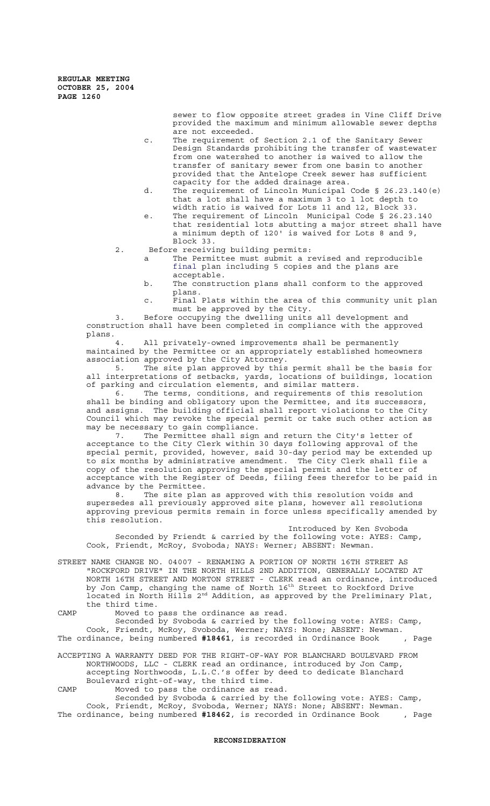> sewer to flow opposite street grades in Vine Cliff Drive provided the maximum and minimum allowable sewer depths are not exceeded.

- c. The requirement of Section 2.1 of the Sanitary Sewer Design Standards prohibiting the transfer of wastewater from one watershed to another is waived to allow the transfer of sanitary sewer from one basin to another provided that the Antelope Creek sewer has sufficient .<br>capacity for the added drainage area.
- d. The requirement of Lincoln Municipal Code § 26.23.140(e) that a lot shall have a maximum 3 to 1 lot depth to
- width ratio is waived for Lots 11 and 12, Block 33. e. The requirement of Lincoln Municipal Code § 26.23.140 that residential lots abutting a major street shall have a minimum depth of 120' is waived for Lots 8 and 9, Block 33.
- 2. Before receiving building permits:
	- a The Permittee must submit a revised and reproducible final plan including 5 copies and the plans are acceptable.
	- b. The construction plans shall conform to the approved plans.
	- c. Final Plats within the area of this community unit plan must be approved by the City.

3. Before occupying the dwelling units all development and construction shall have been completed in compliance with the approved plans.

All privately-owned improvements shall be permanently maintained by the Permittee or an appropriately established homeowners association approved by the City Attorney.

5. The site plan approved by this permit shall be the basis for all interpretations of setbacks, yards, locations of buildings, location of parking and circulation elements, and similar matters.

6. The terms, conditions, and requirements of this resolution shall be binding and obligatory upon the Permittee, and its successors, and assigns. The building official shall report violations to the City Council which may revoke the special permit or take such other action as may be necessary to gain compliance.

7. The Permittee shall sign and return the City's letter of acceptance to the City Clerk within 30 days following approval of the special permit, provided, however, said 30-day period may be extended up to six months by administrative amendment. The City Clerk shall file a copy of the resolution approving the special permit and the letter of acceptance with the Register of Deeds, filing fees therefor to be paid in advance by the Permittee.<br>8. The site plan

The site plan as approved with this resolution voids and supersedes all previously approved site plans, however all resolutions approving previous permits remain in force unless specifically amended by this resolution.

Introduced by Ken Svoboda Seconded by Friendt & carried by the following vote: AYES: Camp, Cook, Friendt, McRoy, Svoboda; NAYS: Werner; ABSENT: Newman.

STREET NAME CHANGE NO. 04007 - RENAMING A PORTION OF NORTH 16TH STREET AS "ROCKFORD DRIVE" IN THE NORTH HILLS 2ND ADDITION, GENERALLY LOCATED AT NORTH 16TH STREET AND MORTON STREET - CLERK read an ordinance, introduced by Jon Camp, changing the name of North 16<sup>th</sup> Street to Rockford Drive located in North Hills 2<sup>nd</sup> Addition, as approved by the Preliminary Plat, the third time.

CAMP Moved to pass the ordinance as read.

Seconded by Svoboda & carried by the following vote: AYES: Camp, Cook, Friendt, McRoy, Svoboda, Werner; NAYS: None; ABSENT: Newman. The ordinance, being numbered **#18461**, is recorded in Ordinance Book , Page

ACCEPTING A WARRANTY DEED FOR THE RIGHT-OF-WAY FOR BLANCHARD BOULEVARD FROM NORTHWOODS, LLC - CLERK read an ordinance, introduced by Jon Camp, accepting Northwoods, L.L.C.'s offer by deed to dedicate Blanchard Boulevard right-of-way, the third time.

CAMP Moved to pass the ordinance as read.

Seconded by Svoboda & carried by the following vote: AYES: Camp, Cook, Friendt, McRoy, Svoboda, Werner; NAYS: None; ABSENT: Newman. The ordinance, being numbered **#18462**, is recorded in Ordinance Book , Page

### **RECONSIDERATION**